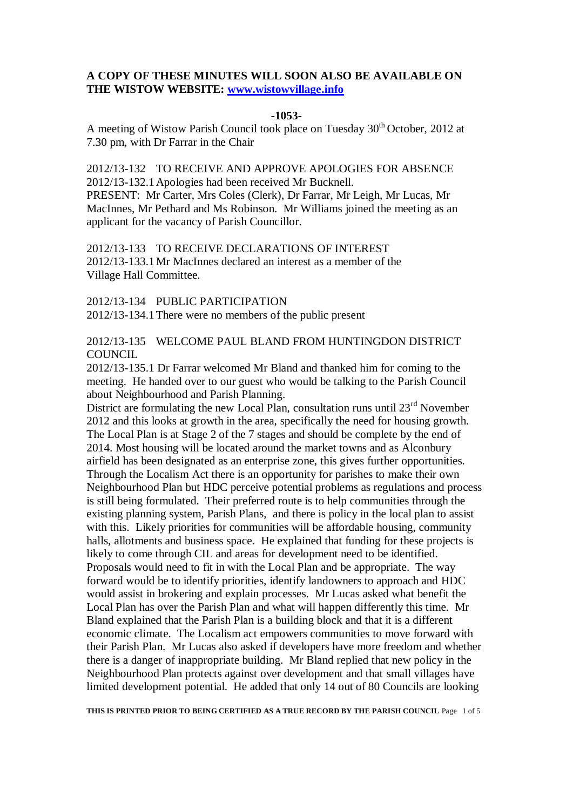## **A COPY OF THESE MINUTES WILL SOON ALSO BE AVAILABLE ON THE WISTOW WEBSITE: [www.wistowvillage.info](http://www.wistowvillage.info/)**

#### **-1053-**

A meeting of Wistow Parish Council took place on Tuesday 30<sup>th</sup> October, 2012 at 7.30 pm, with Dr Farrar in the Chair

2012/13-132 TO RECEIVE AND APPROVE APOLOGIES FOR ABSENCE 2012/13-132.1Apologies had been received Mr Bucknell. PRESENT: Mr Carter, Mrs Coles (Clerk), Dr Farrar, Mr Leigh, Mr Lucas, Mr MacInnes, Mr Pethard and Ms Robinson. Mr Williams joined the meeting as an applicant for the vacancy of Parish Councillor.

2012/13-133 TO RECEIVE DECLARATIONS OF INTEREST 2012/13-133.1Mr MacInnes declared an interest as a member of the Village Hall Committee.

2012/13-134 PUBLIC PARTICIPATION 2012/13-134.1There were no members of the public present

2012/13-135 WELCOME PAUL BLAND FROM HUNTINGDON DISTRICT COUNCIL.

2012/13-135.1 Dr Farrar welcomed Mr Bland and thanked him for coming to the meeting. He handed over to our guest who would be talking to the Parish Council about Neighbourhood and Parish Planning.

District are formulating the new Local Plan, consultation runs until  $23<sup>rd</sup>$  November 2012 and this looks at growth in the area, specifically the need for housing growth. The Local Plan is at Stage 2 of the 7 stages and should be complete by the end of 2014. Most housing will be located around the market towns and as Alconbury airfield has been designated as an enterprise zone, this gives further opportunities. Through the Localism Act there is an opportunity for parishes to make their own Neighbourhood Plan but HDC perceive potential problems as regulations and process is still being formulated. Their preferred route is to help communities through the existing planning system, Parish Plans, and there is policy in the local plan to assist with this. Likely priorities for communities will be affordable housing, community halls, allotments and business space. He explained that funding for these projects is likely to come through CIL and areas for development need to be identified. Proposals would need to fit in with the Local Plan and be appropriate. The way forward would be to identify priorities, identify landowners to approach and HDC would assist in brokering and explain processes. Mr Lucas asked what benefit the Local Plan has over the Parish Plan and what will happen differently this time. Mr Bland explained that the Parish Plan is a building block and that it is a different economic climate. The Localism act empowers communities to move forward with their Parish Plan. Mr Lucas also asked if developers have more freedom and whether there is a danger of inappropriate building. Mr Bland replied that new policy in the Neighbourhood Plan protects against over development and that small villages have limited development potential. He added that only 14 out of 80 Councils are looking

**THIS IS PRINTED PRIOR TO BEING CERTIFIED AS A TRUE RECORD BY THE PARISH COUNCIL** Page 1 of 5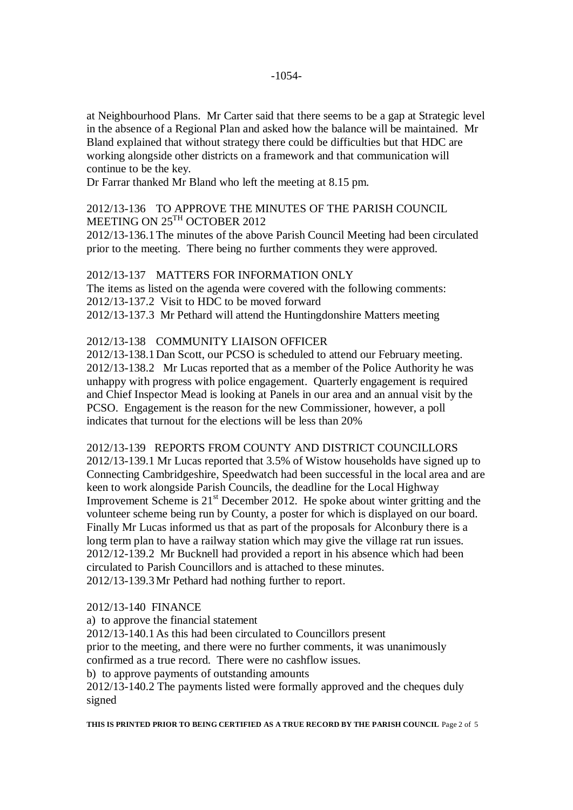at Neighbourhood Plans. Mr Carter said that there seems to be a gap at Strategic level in the absence of a Regional Plan and asked how the balance will be maintained. Mr Bland explained that without strategy there could be difficulties but that HDC are working alongside other districts on a framework and that communication will continue to be the key.

Dr Farrar thanked Mr Bland who left the meeting at 8.15 pm.

# 2012/13-136 TO APPROVE THE MINUTES OF THE PARISH COUNCIL MEETING ON  $25^{\text{TH}}$  OCTOBER 2012

2012/13-136.1The minutes of the above Parish Council Meeting had been circulated prior to the meeting. There being no further comments they were approved.

# 2012/13-137 MATTERS FOR INFORMATION ONLY The items as listed on the agenda were covered with the following comments: 2012/13-137.2 Visit to HDC to be moved forward 2012/13-137.3 Mr Pethard will attend the Huntingdonshire Matters meeting

## 2012/13-138 COMMUNITY LIAISON OFFICER

2012/13-138.1Dan Scott, our PCSO is scheduled to attend our February meeting. 2012/13-138.2 Mr Lucas reported that as a member of the Police Authority he was unhappy with progress with police engagement. Quarterly engagement is required and Chief Inspector Mead is looking at Panels in our area and an annual visit by the PCSO. Engagement is the reason for the new Commissioner, however, a poll indicates that turnout for the elections will be less than 20%

2012/13-139 REPORTS FROM COUNTY AND DISTRICT COUNCILLORS 2012/13-139.1 Mr Lucas reported that 3.5% of Wistow households have signed up to Connecting Cambridgeshire, Speedwatch had been successful in the local area and are keen to work alongside Parish Councils, the deadline for the Local Highway Improvement Scheme is  $21<sup>st</sup>$  December 2012. He spoke about winter gritting and the volunteer scheme being run by County, a poster for which is displayed on our board. Finally Mr Lucas informed us that as part of the proposals for Alconbury there is a long term plan to have a railway station which may give the village rat run issues. 2012/12-139.2 Mr Bucknell had provided a report in his absence which had been circulated to Parish Councillors and is attached to these minutes. 2012/13-139.3Mr Pethard had nothing further to report.

## 2012/13-140 FINANCE

a) to approve the financial statement 2012/13-140.1As this had been circulated to Councillors present prior to the meeting, and there were no further comments, it was unanimously confirmed as a true record. There were no cashflow issues. b) to approve payments of outstanding amounts 2012/13-140.2 The payments listed were formally approved and the cheques duly signed

**THIS IS PRINTED PRIOR TO BEING CERTIFIED AS A TRUE RECORD BY THE PARISH COUNCIL** Page 2 of 5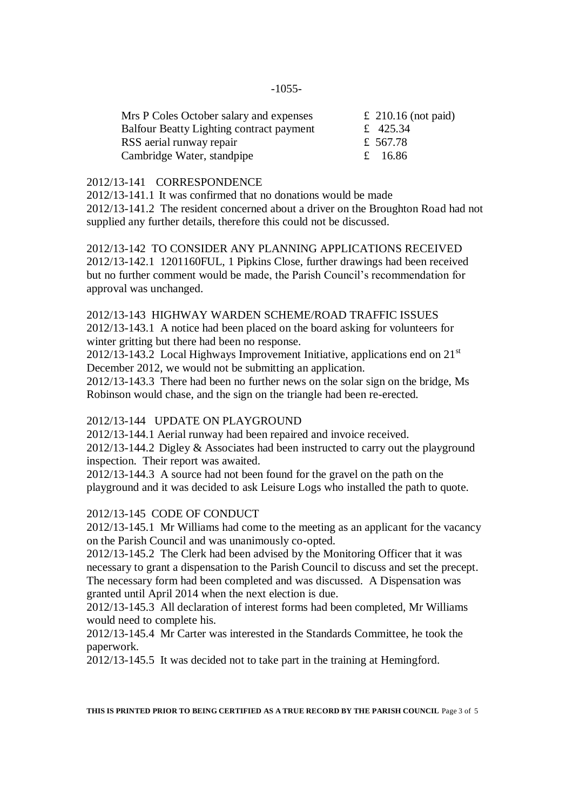| £ 210.16 (not paid) |
|---------------------|
| £ 425.34            |
| £ 567.78            |
| £ 16.86             |
|                     |

#### 2012/13-141 CORRESPONDENCE

2012/13-141.1 It was confirmed that no donations would be made 2012/13-141.2 The resident concerned about a driver on the Broughton Road had not supplied any further details, therefore this could not be discussed.

2012/13-142 TO CONSIDER ANY PLANNING APPLICATIONS RECEIVED 2012/13-142.1 1201160FUL, 1 Pipkins Close, further drawings had been received but no further comment would be made, the Parish Council's recommendation for approval was unchanged.

## 2012/13-143 HIGHWAY WARDEN SCHEME/ROAD TRAFFIC ISSUES

2012/13-143.1 A notice had been placed on the board asking for volunteers for winter gritting but there had been no response.

2012/13-143.2 Local Highways Improvement Initiative, applications end on  $21<sup>st</sup>$ December 2012, we would not be submitting an application.

2012/13-143.3 There had been no further news on the solar sign on the bridge, Ms Robinson would chase, and the sign on the triangle had been re-erected.

## 2012/13-144 UPDATE ON PLAYGROUND

2012/13-144.1 Aerial runway had been repaired and invoice received.

2012/13-144.2 Digley & Associates had been instructed to carry out the playground inspection. Their report was awaited.

2012/13-144.3 A source had not been found for the gravel on the path on the playground and it was decided to ask Leisure Logs who installed the path to quote.

#### 2012/13-145 CODE OF CONDUCT

2012/13-145.1 Mr Williams had come to the meeting as an applicant for the vacancy on the Parish Council and was unanimously co-opted.

2012/13-145.2 The Clerk had been advised by the Monitoring Officer that it was necessary to grant a dispensation to the Parish Council to discuss and set the precept. The necessary form had been completed and was discussed. A Dispensation was granted until April 2014 when the next election is due.

2012/13-145.3 All declaration of interest forms had been completed, Mr Williams would need to complete his.

2012/13-145.4 Mr Carter was interested in the Standards Committee, he took the paperwork.

2012/13-145.5 It was decided not to take part in the training at Hemingford.

**THIS IS PRINTED PRIOR TO BEING CERTIFIED AS A TRUE RECORD BY THE PARISH COUNCIL** Page 3 of 5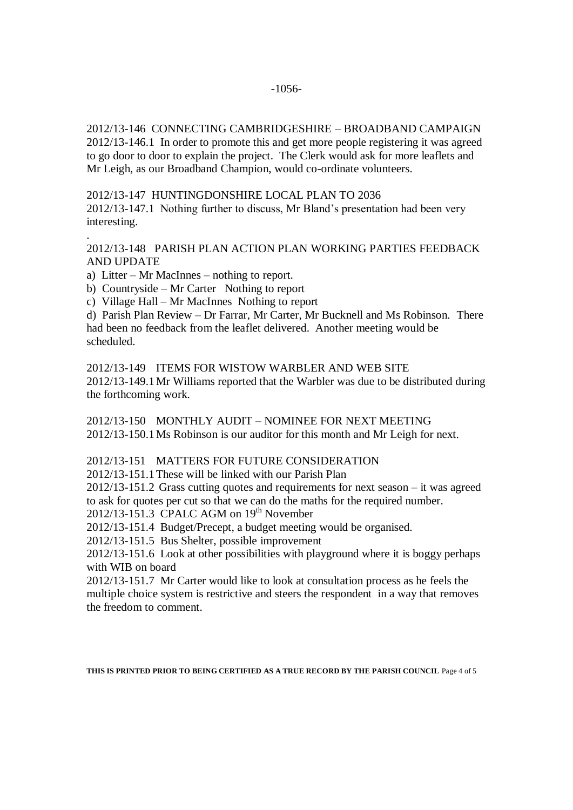2012/13-146 CONNECTING CAMBRIDGESHIRE – BROADBAND CAMPAIGN 2012/13-146.1 In order to promote this and get more people registering it was agreed to go door to door to explain the project. The Clerk would ask for more leaflets and Mr Leigh, as our Broadband Champion, would co-ordinate volunteers.

2012/13-147 HUNTINGDONSHIRE LOCAL PLAN TO 2036

2012/13-147.1 Nothing further to discuss, Mr Bland's presentation had been very interesting.

## 2012/13-148 PARISH PLAN ACTION PLAN WORKING PARTIES FEEDBACK AND UPDATE

a) Litter – Mr MacInnes – nothing to report.

.

b) Countryside – Mr Carter Nothing to report

c) Village Hall – Mr MacInnes Nothing to report

d) Parish Plan Review – Dr Farrar, Mr Carter, Mr Bucknell and Ms Robinson. There had been no feedback from the leaflet delivered. Another meeting would be scheduled.

2012/13-149 ITEMS FOR WISTOW WARBLER AND WEB SITE 2012/13-149.1Mr Williams reported that the Warbler was due to be distributed during the forthcoming work.

2012/13-150 MONTHLY AUDIT – NOMINEE FOR NEXT MEETING 2012/13-150.1Ms Robinson is our auditor for this month and Mr Leigh for next.

## 2012/13-151 MATTERS FOR FUTURE CONSIDERATION

2012/13-151.1These will be linked with our Parish Plan

2012/13-151.2 Grass cutting quotes and requirements for next season – it was agreed to ask for quotes per cut so that we can do the maths for the required number.

2012/13-151.3 CPALC AGM on 19<sup>th</sup> November

2012/13-151.4 Budget/Precept, a budget meeting would be organised.

2012/13-151.5 Bus Shelter, possible improvement

2012/13-151.6 Look at other possibilities with playground where it is boggy perhaps with WIB on board

2012/13-151.7 Mr Carter would like to look at consultation process as he feels the multiple choice system is restrictive and steers the respondent in a way that removes the freedom to comment.

**THIS IS PRINTED PRIOR TO BEING CERTIFIED AS A TRUE RECORD BY THE PARISH COUNCIL** Page 4 of 5